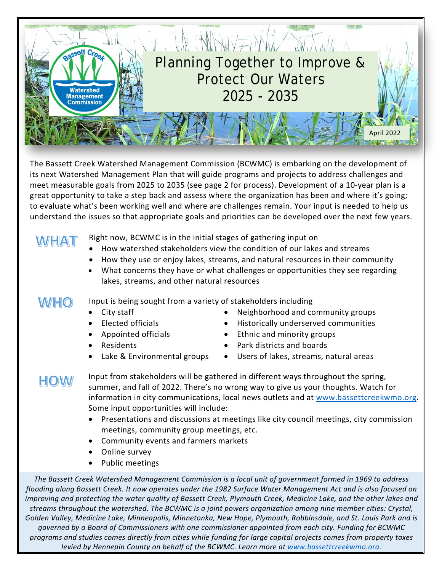

The Bassett Creek Watershed Management Commission (BCWMC) is embarking on the development of its next Watershed Management Plan that will guide programs and projects to address challenges and meet measurable goals from 2025 to 2035 (see page 2 for process). Development of a 10-year plan is a great opportunity to take a step back and assess where the organization has been and where it's going; to evaluate what's been working well and where are challenges remain. Your input is needed to help us understand the issues so that appropriate goals and priorities can be developed over the next few years.

## **WHAT**

Right now, BCWMC is in the initial stages of gathering input on

- How watershed stakeholders view the condition of our lakes and streams
- How they use or enjoy lakes, streams, and natural resources in their community
- What concerns they have or what challenges or opportunities they see regarding lakes, streams, and other natural resources

**WHO** Input is being sought from a variety of stakeholders including

- City staff
- Elected officials
- Appointed officials
- Residents
- Lake & Environmental groups
- Neighborhood and community groups
- Historically underserved communities
- Ethnic and minority groups
- Park districts and boards
- Users of lakes, streams, natural areas

## **HOW**

Input from stakeholders will be gathered in different ways throughout the spring, summer, and fall of 2022. There's no wrong way to give us your thoughts. Watch for information in city communications, local news outlets and at [www.bassettcreekwmo.org.](http://www.bassettcreekwmo.org/) Some input opportunities will include:

- Presentations and discussions at meetings like city council meetings, city commission meetings, community group meetings, etc.
- Community events and farmers markets
- Online survey
- Public meetings

*The Bassett Creek Watershed Management Commission is a local unit of government formed in 1969 to address flooding along Bassett Creek. It now operates under the 1982 Surface Water Management Act and is also focused on improving and protecting the water quality of Bassett Creek, Plymouth Creek, Medicine Lake, and the other lakes and streams throughout the watershed. The BCWMC is a joint powers organization among nine member cities: Crystal, Golden Valley, Medicine Lake, Minneapolis, Minnetonka, New Hope, Plymouth, Robbinsdale, and St. Louis Park and is governed by a Board of Commissioners with one commissioner appointed from each city. Funding for BCWMC programs and studies comes directly from cities while funding for large capital projects comes from property taxes levied by Hennepin County on behalf of the BCWMC. Learn more at [www.bassettcreekwmo.org.](http://www.bassettcreekwmo.org/)*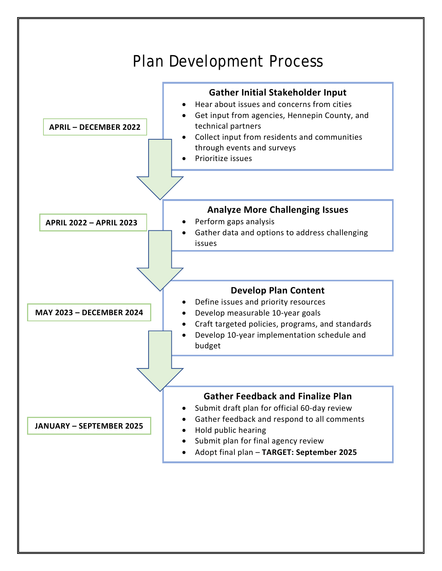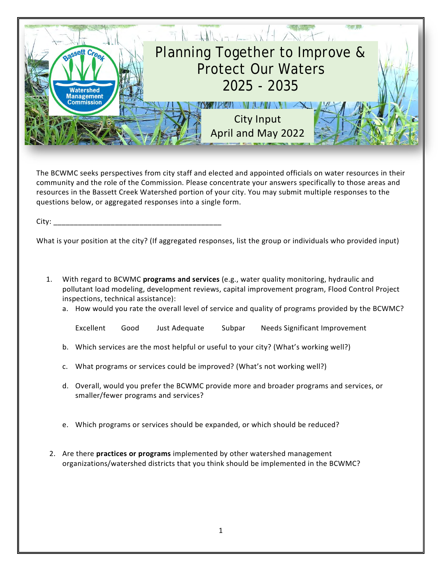

The BCWMC seeks perspectives from city staff and elected and appointed officials on water resources in their community and the role of the Commission. Please concentrate your answers specifically to those areas and resources in the Bassett Creek Watershed portion of your city. You may submit multiple responses to the questions below, or aggregated responses into a single form.

 $City:$ 

What is your position at the city? (If aggregated responses, list the group or individuals who provided input)

- 1. With regard to BCWMC **programs and services** (e.g., water quality monitoring, hydraulic and pollutant load modeling, development reviews, capital improvement program, Flood Control Project inspections, technical assistance):
	- a. How would you rate the overall level of service and quality of programs provided by the BCWMC?

Excellent Good Just Adequate Subpar Needs Significant Improvement

- b. Which services are the most helpful or useful to your city? (What's working well?)
- c. What programs or services could be improved? (What's not working well?)
- d. Overall, would you prefer the BCWMC provide more and broader programs and services, or smaller/fewer programs and services?
- e. Which programs or services should be expanded, or which should be reduced?
- 2. Are there **practices or programs** implemented by other watershed management organizations/watershed districts that you think should be implemented in the BCWMC?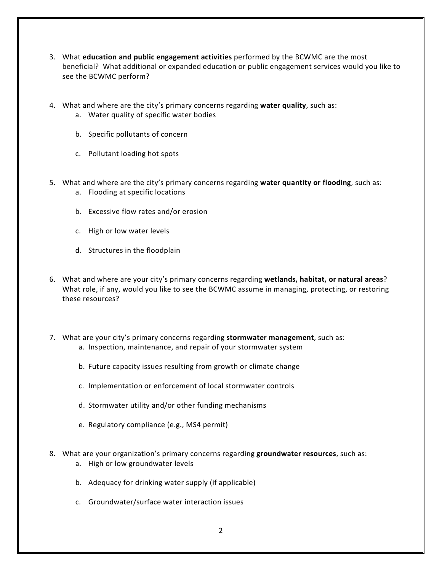- 3. What **education and public engagement activities** performed by the BCWMC are the most beneficial? What additional or expanded education or public engagement services would you like to see the BCWMC perform?
- 4. What and where are the city's primary concerns regarding **water quality**, such as:
	- a. Water quality of specific water bodies
	- b. Specific pollutants of concern
	- c. Pollutant loading hot spots
- 5. What and where are the city's primary concerns regarding **water quantity or flooding**, such as: a. Flooding at specific locations
	- b. Excessive flow rates and/or erosion
	- c. High or low water levels
	- d. Structures in the floodplain
- 6. What and where are your city's primary concerns regarding **wetlands, habitat, or natural areas**? What role, if any, would you like to see the BCWMC assume in managing, protecting, or restoring these resources?
- 7. What are your city's primary concerns regarding **stormwater management**, such as: a. Inspection, maintenance, and repair of your stormwater system
	- b. Future capacity issues resulting from growth or climate change
	- c. Implementation or enforcement of local stormwater controls
	- d. Stormwater utility and/or other funding mechanisms
	- e. Regulatory compliance (e.g., MS4 permit)
- 8. What are your organization's primary concerns regarding **groundwater resources**, such as: a. High or low groundwater levels
	- b. Adequacy for drinking water supply (if applicable)
	- c. Groundwater/surface water interaction issues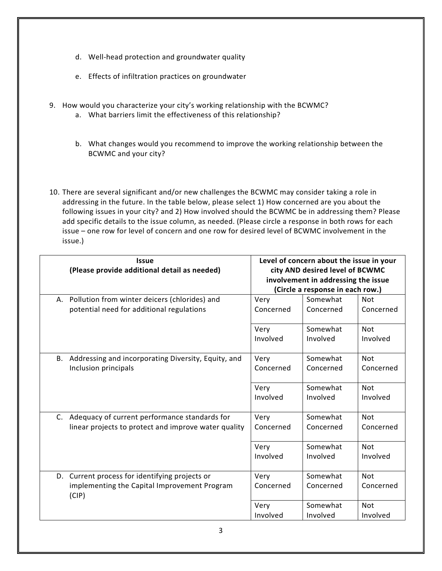- d. Well-head protection and groundwater quality
- e. Effects of infiltration practices on groundwater
- 9. How would you characterize your city's working relationship with the BCWMC?
	- a. What barriers limit the effectiveness of this relationship?
	- b. What changes would you recommend to improve the working relationship between the BCWMC and your city?
- 10. There are several significant and/or new challenges the BCWMC may consider taking a role in addressing in the future. In the table below, please select 1) How concerned are you about the following issues in your city? and 2) How involved should the BCWMC be in addressing them? Please add specific details to the issue column, as needed. (Please circle a response in both rows for each issue – one row for level of concern and one row for desired level of BCWMC involvement in the issue.)

| <b>Issue</b><br>(Please provide additional detail as needed)                                            | Level of concern about the issue in your<br>city AND desired level of BCWMC<br>involvement in addressing the issue<br>(Circle a response in each row.) |                       |                         |  |
|---------------------------------------------------------------------------------------------------------|--------------------------------------------------------------------------------------------------------------------------------------------------------|-----------------------|-------------------------|--|
| A. Pollution from winter deicers (chlorides) and                                                        | Very                                                                                                                                                   | Somewhat              | <b>Not</b>              |  |
| potential need for additional regulations                                                               | Concerned                                                                                                                                              | Concerned             | Concerned               |  |
|                                                                                                         | Very                                                                                                                                                   | Somewhat              | <b>Not</b>              |  |
|                                                                                                         | Involved                                                                                                                                               | Involved              | Involved                |  |
| B. Addressing and incorporating Diversity, Equity, and                                                  | Very                                                                                                                                                   | Somewhat              | <b>Not</b>              |  |
| Inclusion principals                                                                                    | Concerned                                                                                                                                              | Concerned             | Concerned               |  |
|                                                                                                         | Very                                                                                                                                                   | Somewhat              | <b>Not</b>              |  |
|                                                                                                         | Involved                                                                                                                                               | Involved              | Involved                |  |
| C. Adequacy of current performance standards for                                                        | Very                                                                                                                                                   | Somewhat              | <b>Not</b>              |  |
| linear projects to protect and improve water quality                                                    | Concerned                                                                                                                                              | Concerned             | Concerned               |  |
|                                                                                                         | Very                                                                                                                                                   | Somewhat              | <b>Not</b>              |  |
|                                                                                                         | Involved                                                                                                                                               | Involved              | Involved                |  |
| D. Current process for identifying projects or<br>implementing the Capital Improvement Program<br>(CIP) | Very<br>Concerned                                                                                                                                      | Somewhat<br>Concerned | <b>Not</b><br>Concerned |  |
|                                                                                                         | Very                                                                                                                                                   | Somewhat              | <b>Not</b>              |  |
|                                                                                                         | Involved                                                                                                                                               | Involved              | Involved                |  |